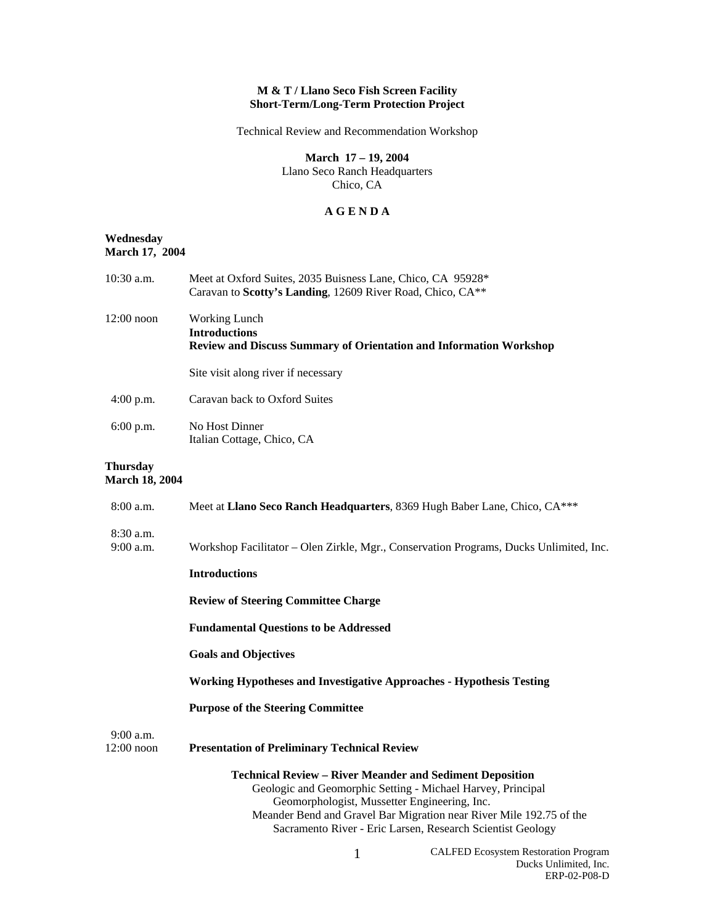## **M & T / Llano Seco Fish Screen Facility Short-Term/Long-Term Protection Project**

Technical Review and Recommendation Workshop

**March 17 – 19, 2004**  Llano Seco Ranch Headquarters Chico, CA

## **A G E N D A**

## **Wednesday March 17, 2004**

| $10:30$ a.m.                      | Meet at Oxford Suites, 2035 Buisness Lane, Chico, CA 95928*<br>Caravan to Scotty's Landing, 12609 River Road, Chico, CA** |
|-----------------------------------|---------------------------------------------------------------------------------------------------------------------------|
| $12:00$ noon                      | Working Lunch<br><b>Introductions</b><br><b>Review and Discuss Summary of Orientation and Information Workshop</b>        |
|                                   | Site visit along river if necessary                                                                                       |
| $4:00$ p.m.                       | Caravan back to Oxford Suites                                                                                             |
| $6:00$ p.m.                       | No Host Dinner<br>Italian Cottage, Chico, CA                                                                              |
| Thursday<br><b>March 18, 2004</b> |                                                                                                                           |
| 8:00 a.m.                         | Meet at Llano Seco Ranch Headquarters, 8369 Hugh Baber Lane, Chico, CA***                                                 |
| $8:30$ a.m.<br>$9:00$ a.m.        | Workshop Facilitator – Olen Zirkle, Mgr., Conservation Programs, Ducks Unlimited, Inc.                                    |
|                                   | <b>Introductions</b>                                                                                                      |
|                                   |                                                                                                                           |

**Review of Steering Committee Charge** 

**Fundamental Questions to be Addressed** 

**Goals and Objectives** 

**Working Hypotheses and Investigative Approaches - Hypothesis Testing** 

**Purpose of the Steering Committee** 

9:00 a.m.

12:00 noon **Presentation of Preliminary Technical Review**

**Technical Review – River Meander and Sediment Deposition**  Geologic and Geomorphic Setting - Michael Harvey, Principal Geomorphologist, Mussetter Engineering, Inc. Meander Bend and Gravel Bar Migration near River Mile 192.75 of the Sacramento River - Eric Larsen, Research Scientist Geology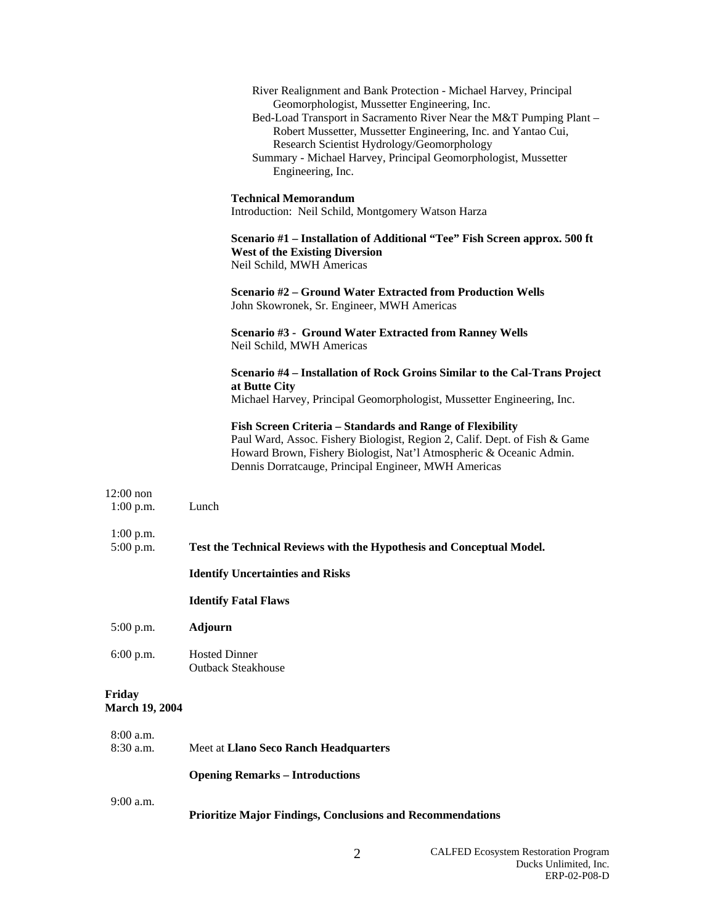|                                 | River Realignment and Bank Protection - Michael Harvey, Principal<br>Geomorphologist, Mussetter Engineering, Inc.<br>Bed-Load Transport in Sacramento River Near the M&T Pumping Plant -<br>Robert Mussetter, Mussetter Engineering, Inc. and Yantao Cui,<br>Research Scientist Hydrology/Geomorphology<br>Summary - Michael Harvey, Principal Geomorphologist, Mussetter<br>Engineering, Inc. |
|---------------------------------|------------------------------------------------------------------------------------------------------------------------------------------------------------------------------------------------------------------------------------------------------------------------------------------------------------------------------------------------------------------------------------------------|
|                                 | <b>Technical Memorandum</b><br>Introduction: Neil Schild, Montgomery Watson Harza                                                                                                                                                                                                                                                                                                              |
|                                 | Scenario #1 – Installation of Additional "Tee" Fish Screen approx. 500 ft<br><b>West of the Existing Diversion</b><br>Neil Schild, MWH Americas                                                                                                                                                                                                                                                |
|                                 | <b>Scenario #2 – Ground Water Extracted from Production Wells</b><br>John Skowronek, Sr. Engineer, MWH Americas                                                                                                                                                                                                                                                                                |
|                                 | <b>Scenario #3 - Ground Water Extracted from Ranney Wells</b><br>Neil Schild, MWH Americas                                                                                                                                                                                                                                                                                                     |
|                                 | Scenario #4 - Installation of Rock Groins Similar to the Cal-Trans Project<br>at Butte City<br>Michael Harvey, Principal Geomorphologist, Mussetter Engineering, Inc.                                                                                                                                                                                                                          |
|                                 | Fish Screen Criteria - Standards and Range of Flexibility<br>Paul Ward, Assoc. Fishery Biologist, Region 2, Calif. Dept. of Fish & Game<br>Howard Brown, Fishery Biologist, Nat'l Atmospheric & Oceanic Admin.<br>Dennis Dorratcauge, Principal Engineer, MWH Americas                                                                                                                         |
| $12:00$ non<br>$1:00$ p.m.      | Lunch                                                                                                                                                                                                                                                                                                                                                                                          |
| $1:00$ p.m.<br>5:00 p.m.        | Test the Technical Reviews with the Hypothesis and Conceptual Model.                                                                                                                                                                                                                                                                                                                           |
|                                 | <b>Identify Uncertainties and Risks</b>                                                                                                                                                                                                                                                                                                                                                        |
|                                 | <b>Identify Fatal Flaws</b>                                                                                                                                                                                                                                                                                                                                                                    |
| 5:00 p.m.                       | <b>Adjourn</b>                                                                                                                                                                                                                                                                                                                                                                                 |
| 6:00 p.m.                       | <b>Hosted Dinner</b><br><b>Outback Steakhouse</b>                                                                                                                                                                                                                                                                                                                                              |
| Friday<br><b>March 19, 2004</b> |                                                                                                                                                                                                                                                                                                                                                                                                |
| 8:00 a.m.<br>8:30 a.m.          | Meet at Llano Seco Ranch Headquarters                                                                                                                                                                                                                                                                                                                                                          |
|                                 | <b>Opening Remarks - Introductions</b>                                                                                                                                                                                                                                                                                                                                                         |
| 9:00 a.m.                       | <b>Prioritize Major Findings, Conclusions and Recommendations</b>                                                                                                                                                                                                                                                                                                                              |